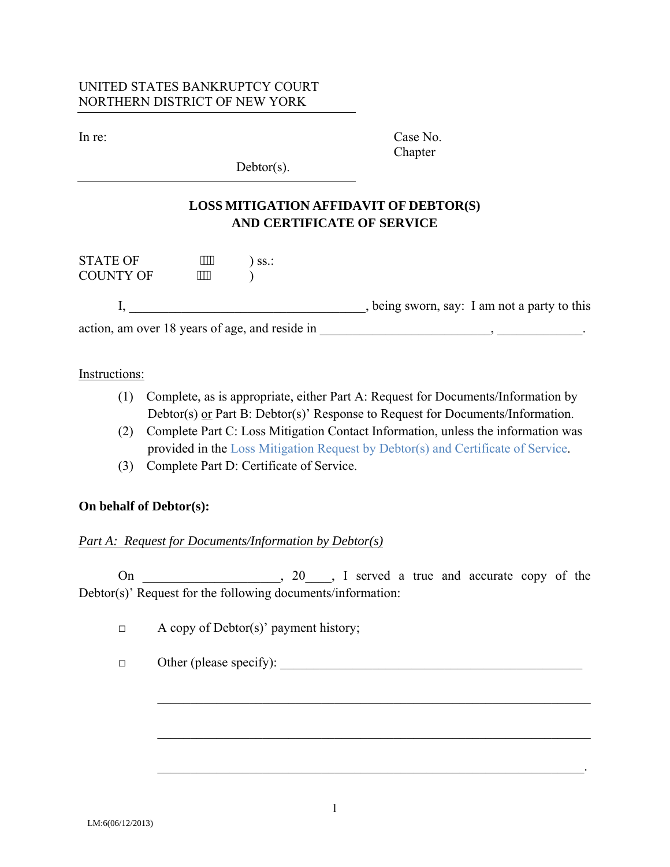### UNITED STATES BANKRUPTCY COURT NORTHERN DISTRICT OF NEW YORK

In re: Case No. **Chapter** 

 $Dektor(s)$ .

# **LOSS MITIGATION AFFIDAVIT OF DEBTOR(S) AND CERTIFICATE OF SERVICE**

| <b>STATE OF</b>                                | ,,,,,, | SS.: |                                            |
|------------------------------------------------|--------|------|--------------------------------------------|
| <b>COUNTY OF</b>                               | ,,,,,, |      |                                            |
|                                                |        |      |                                            |
|                                                |        |      | being sworn, say: I am not a party to this |
| action, am over 18 years of age, and reside in |        |      |                                            |

#### Instructions:

- (1) Complete, as is appropriate, either Part A: Request for Documents/Information by Debtor(s) or Part B: Debtor(s)' Response to Request for Documents/Information.
- (2) Complete Part C: Loss Mitigation Contact Information, unless the information was provided in the Loss Mitigation Request by Debtor(s) and Certificate of Service.
- (3) Complete Part D: Certificate of Service.

## **On behalf of Debtor(s):**

#### *Part A: Request for Documents/Information by Debtor(s)*

On 20, 20, D served a true and accurate copy of the Debtor(s)' Request for the following documents/information:

 $\mathcal{L}_\mathcal{L} = \mathcal{L}_\mathcal{L} = \mathcal{L}_\mathcal{L} = \mathcal{L}_\mathcal{L} = \mathcal{L}_\mathcal{L} = \mathcal{L}_\mathcal{L} = \mathcal{L}_\mathcal{L} = \mathcal{L}_\mathcal{L} = \mathcal{L}_\mathcal{L} = \mathcal{L}_\mathcal{L} = \mathcal{L}_\mathcal{L} = \mathcal{L}_\mathcal{L} = \mathcal{L}_\mathcal{L} = \mathcal{L}_\mathcal{L} = \mathcal{L}_\mathcal{L} = \mathcal{L}_\mathcal{L} = \mathcal{L}_\mathcal{L}$ 

 $\mathcal{L}_\text{max} = \mathcal{L}_\text{max} = \mathcal{L}_\text{max} = \mathcal{L}_\text{max} = \mathcal{L}_\text{max} = \mathcal{L}_\text{max} = \mathcal{L}_\text{max} = \mathcal{L}_\text{max} = \mathcal{L}_\text{max} = \mathcal{L}_\text{max} = \mathcal{L}_\text{max} = \mathcal{L}_\text{max} = \mathcal{L}_\text{max} = \mathcal{L}_\text{max} = \mathcal{L}_\text{max} = \mathcal{L}_\text{max} = \mathcal{L}_\text{max} = \mathcal{L}_\text{max} = \mathcal{$ 

 $\Box$  A copy of Debtor(s)' payment history;

 $\Box$  Other (please specify):

 $\mathcal{L}_\mathcal{L} = \mathcal{L}_\mathcal{L} = \mathcal{L}_\mathcal{L} = \mathcal{L}_\mathcal{L} = \mathcal{L}_\mathcal{L} = \mathcal{L}_\mathcal{L} = \mathcal{L}_\mathcal{L} = \mathcal{L}_\mathcal{L} = \mathcal{L}_\mathcal{L} = \mathcal{L}_\mathcal{L} = \mathcal{L}_\mathcal{L} = \mathcal{L}_\mathcal{L} = \mathcal{L}_\mathcal{L} = \mathcal{L}_\mathcal{L} = \mathcal{L}_\mathcal{L} = \mathcal{L}_\mathcal{L} = \mathcal{L}_\mathcal{L}$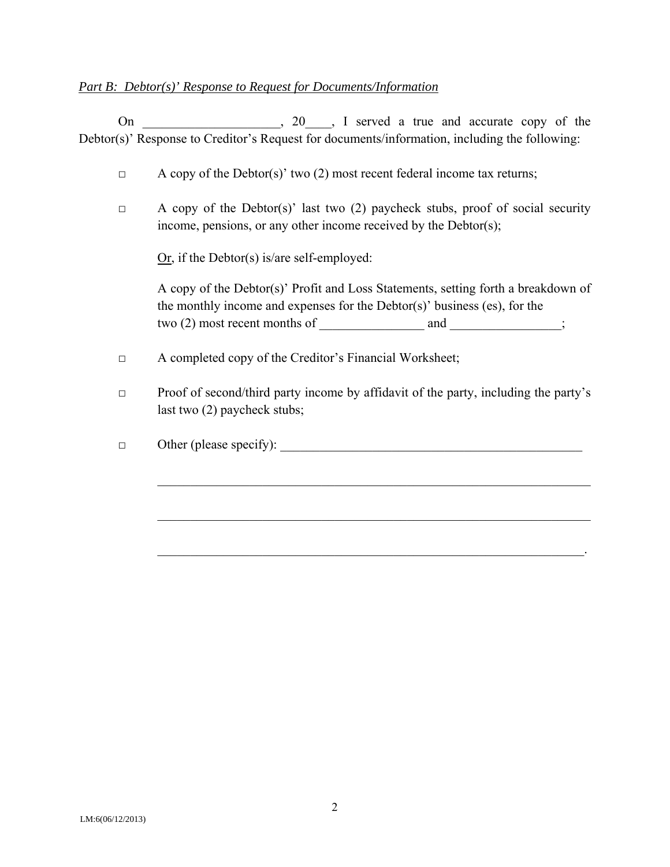#### *Part B: Debtor(s)' Response to Request for Documents/Information*

On 20, 20, D served a true and accurate copy of the Debtor(s)' Response to Creditor's Request for documents/information, including the following:

- $\Box$  A copy of the Debtor(s)' two (2) most recent federal income tax returns;
- $\Box$  A copy of the Debtor(s)' last two (2) paycheck stubs, proof of social security income, pensions, or any other income received by the Debtor(s);

 $Qr$ , if the Debtor(s) is/are self-employed:

 A copy of the Debtor(s)' Profit and Loss Statements, setting forth a breakdown of the monthly income and expenses for the Debtor(s)' business (es), for the two (2) most recent months of \_\_\_\_\_\_\_\_\_\_\_\_\_\_\_\_\_\_\_\_\_\_\_\_\_\_\_\_\_\_\_\_\_\_;

- □ A completed copy of the Creditor's Financial Worksheet;
- $\Box$  Proof of second/third party income by affidavit of the party, including the party's last two (2) paycheck stubs;

 $\mathcal{L}_\text{max} = \frac{1}{2} \sum_{i=1}^{n} \frac{1}{2} \sum_{i=1}^{n} \frac{1}{2} \sum_{i=1}^{n} \frac{1}{2} \sum_{i=1}^{n} \frac{1}{2} \sum_{i=1}^{n} \frac{1}{2} \sum_{i=1}^{n} \frac{1}{2} \sum_{i=1}^{n} \frac{1}{2} \sum_{i=1}^{n} \frac{1}{2} \sum_{i=1}^{n} \frac{1}{2} \sum_{i=1}^{n} \frac{1}{2} \sum_{i=1}^{n} \frac{1}{2} \sum_{i=1}^{n} \frac{1$ 

 $\mathcal{L}_\text{max} = \frac{1}{2} \sum_{i=1}^{n} \frac{1}{2} \sum_{i=1}^{n} \frac{1}{2} \sum_{i=1}^{n} \frac{1}{2} \sum_{i=1}^{n} \frac{1}{2} \sum_{i=1}^{n} \frac{1}{2} \sum_{i=1}^{n} \frac{1}{2} \sum_{i=1}^{n} \frac{1}{2} \sum_{i=1}^{n} \frac{1}{2} \sum_{i=1}^{n} \frac{1}{2} \sum_{i=1}^{n} \frac{1}{2} \sum_{i=1}^{n} \frac{1}{2} \sum_{i=1}^{n} \frac{1$ 

 $\mathcal{L}_\mathcal{L} = \mathcal{L}_\mathcal{L} = \mathcal{L}_\mathcal{L} = \mathcal{L}_\mathcal{L} = \mathcal{L}_\mathcal{L} = \mathcal{L}_\mathcal{L} = \mathcal{L}_\mathcal{L} = \mathcal{L}_\mathcal{L} = \mathcal{L}_\mathcal{L} = \mathcal{L}_\mathcal{L} = \mathcal{L}_\mathcal{L} = \mathcal{L}_\mathcal{L} = \mathcal{L}_\mathcal{L} = \mathcal{L}_\mathcal{L} = \mathcal{L}_\mathcal{L} = \mathcal{L}_\mathcal{L} = \mathcal{L}_\mathcal{L}$ 

 $\Box$  Other (please specify):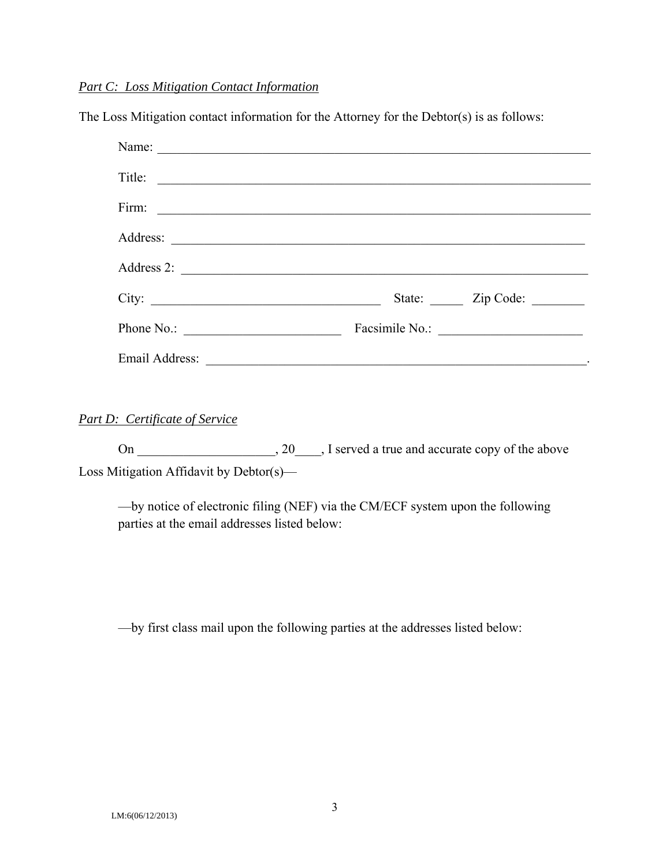#### *Part C: Loss Mitigation Contact Information*

The Loss Mitigation contact information for the Attorney for the Debtor(s) is as follows:

| Title:                     |  |
|----------------------------|--|
| Firm:                      |  |
|                            |  |
| Address 2:                 |  |
|                            |  |
| Phone No.: $\qquad \qquad$ |  |
| Email Address:             |  |

## *Part D: Certificate of Service*

On \_\_\_\_\_\_\_\_\_\_\_\_\_\_\_\_\_\_\_, 20\_\_\_\_, I served a true and accurate copy of the above Loss Mitigation Affidavit by Debtor(s)—

—by notice of electronic filing (NEF) via the CM/ECF system upon the following parties at the email addresses listed below:

—by first class mail upon the following parties at the addresses listed below: